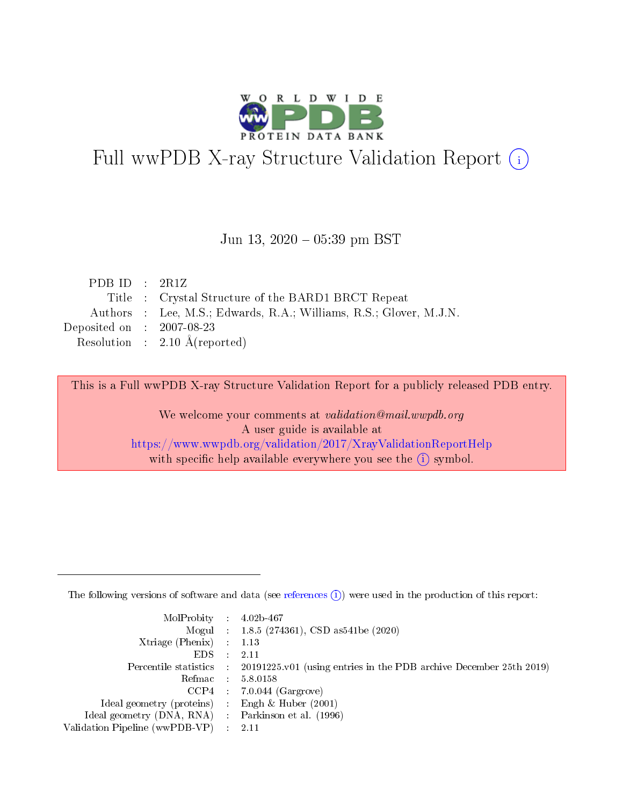

# Full wwPDB X-ray Structure Validation Report (i)

#### Jun 13, 2020 05:39 pm BST

| PDB ID : $2R1Z$                                                    |
|--------------------------------------------------------------------|
| Title : Crystal Structure of the BARD1 BRCT Repeat                 |
| Authors : Lee, M.S.; Edwards, R.A.; Williams, R.S.; Glover, M.J.N. |
| Deposited on : $2007-08-23$                                        |
| Resolution : $2.10 \text{ Å}$ (reported)                           |
|                                                                    |

This is a Full wwPDB X-ray Structure Validation Report for a publicly released PDB entry.

We welcome your comments at validation@mail.wwpdb.org A user guide is available at <https://www.wwpdb.org/validation/2017/XrayValidationReportHelp> with specific help available everywhere you see the  $(i)$  symbol.

The following versions of software and data (see [references](https://www.wwpdb.org/validation/2017/XrayValidationReportHelp#references)  $(1)$ ) were used in the production of this report:

| MolProbity : $4.02b-467$                            |                                                                                            |
|-----------------------------------------------------|--------------------------------------------------------------------------------------------|
|                                                     | Mogul : $1.8.5$ (274361), CSD as 541be (2020)                                              |
| $Xtriangle (Phenix)$ : 1.13                         |                                                                                            |
| $EDS$ :                                             | -2.11                                                                                      |
|                                                     | Percentile statistics : 20191225.v01 (using entries in the PDB archive December 25th 2019) |
| Refmac : 5.8.0158                                   |                                                                                            |
|                                                     | $CCP4$ 7.0.044 (Gargrove)                                                                  |
| Ideal geometry (proteins) : Engh $\&$ Huber (2001)  |                                                                                            |
| Ideal geometry (DNA, RNA) : Parkinson et al. (1996) |                                                                                            |
| Validation Pipeline (wwPDB-VP) : 2.11               |                                                                                            |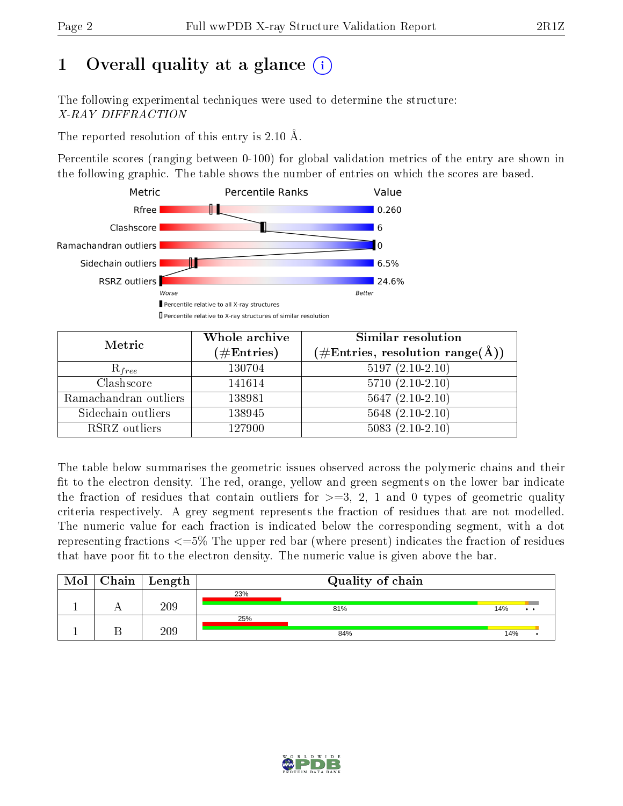# 1 [O](https://www.wwpdb.org/validation/2017/XrayValidationReportHelp#overall_quality)verall quality at a glance  $(i)$

The following experimental techniques were used to determine the structure: X-RAY DIFFRACTION

The reported resolution of this entry is 2.10 Å.

Percentile scores (ranging between 0-100) for global validation metrics of the entry are shown in the following graphic. The table shows the number of entries on which the scores are based.



| Metric                | Whole archive<br>$(\#\text{Entries})$ | Similar resolution<br>$(\#\text{Entries},\,\text{resolution}\,\,\text{range}(\textup{\AA}))$ |  |  |
|-----------------------|---------------------------------------|----------------------------------------------------------------------------------------------|--|--|
| $R_{free}$            | 130704                                | $5197(2.10-2.10)$                                                                            |  |  |
| Clashscore            | 141614                                | $5710(2.10-2.10)$                                                                            |  |  |
| Ramachandran outliers | 138981                                | $5647(2.10-2.10)$                                                                            |  |  |
| Sidechain outliers    | 138945                                | $5648(2.10-2.10)$                                                                            |  |  |
| RSRZ outliers         | 127900                                | $5083(2.10-2.10)$                                                                            |  |  |

The table below summarises the geometric issues observed across the polymeric chains and their fit to the electron density. The red, orange, yellow and green segments on the lower bar indicate the fraction of residues that contain outliers for  $>=3, 2, 1$  and 0 types of geometric quality criteria respectively. A grey segment represents the fraction of residues that are not modelled. The numeric value for each fraction is indicated below the corresponding segment, with a dot representing fractions  $\epsilon=5\%$  The upper red bar (where present) indicates the fraction of residues that have poor fit to the electron density. The numeric value is given above the bar.

| Mol | Chain   Length | Quality of chain |                        |  |  |  |
|-----|----------------|------------------|------------------------|--|--|--|
|     |                | 23%              |                        |  |  |  |
|     | 209            | 81%              | 14%<br>$\cdot$ $\cdot$ |  |  |  |
|     |                | 25%              |                        |  |  |  |
|     | 209            | 84%              | 14%                    |  |  |  |

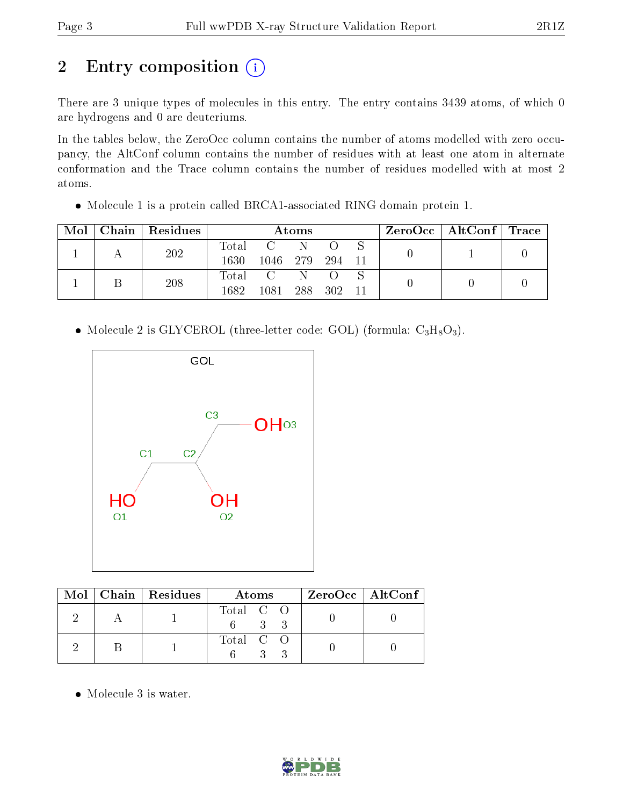# 2 Entry composition (i)

There are 3 unique types of molecules in this entry. The entry contains 3439 atoms, of which 0 are hydrogens and 0 are deuteriums.

In the tables below, the ZeroOcc column contains the number of atoms modelled with zero occupancy, the AltConf column contains the number of residues with at least one atom in alternate conformation and the Trace column contains the number of residues modelled with at most 2 atoms.

Molecule 1 is a protein called BRCA1-associated RING domain protein 1.

| Mol |     | Chain   Residues | Atoms            |                |       |    |  | $\text{ZeroOcc}$   AltConf   Trace |  |
|-----|-----|------------------|------------------|----------------|-------|----|--|------------------------------------|--|
|     | 202 |                  | Total            |                |       |    |  |                                    |  |
|     |     | 1630             | 1046             | -279           | 294   | 11 |  |                                    |  |
|     | 208 |                  | $\mathrm{Total}$ | $\overline{C}$ | N     |    |  |                                    |  |
|     |     | 1682             | 1081             | 288            | - 302 | 11 |  |                                    |  |

• Molecule 2 is GLYCEROL (three-letter code: GOL) (formula:  $C_3H_8O_3$ ).



|  | $Mol$   Chain   Residues | Atoms     | $ZeroOcc \   \ AltConf$ |
|--|--------------------------|-----------|-------------------------|
|  |                          | Total C O |                         |
|  |                          | Total C O |                         |

Molecule 3 is water.

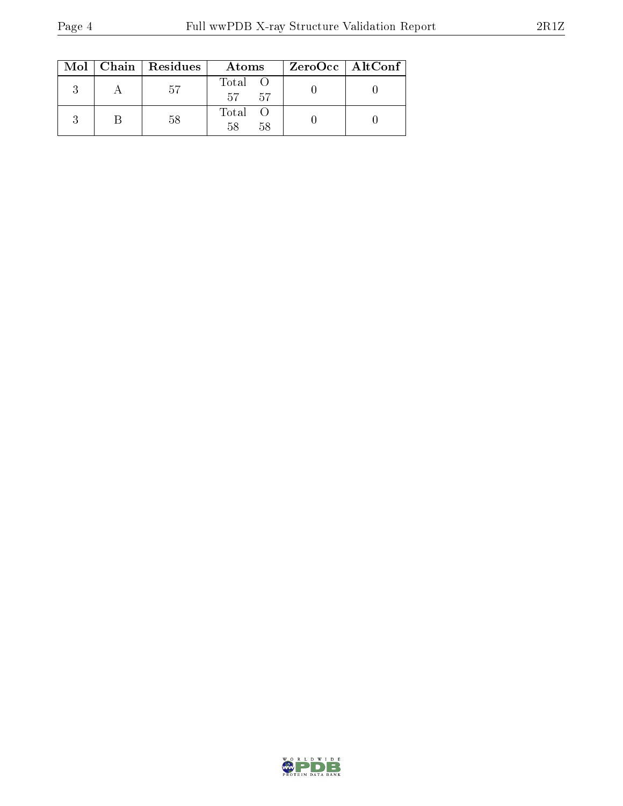|  | $Mol$   Chain   Residues | Atoms               | ZeroOcc   AltConf |
|--|--------------------------|---------------------|-------------------|
|  | -57                      | Total O<br>57<br>57 |                   |
|  | 58                       | Total O<br>58<br>58 |                   |

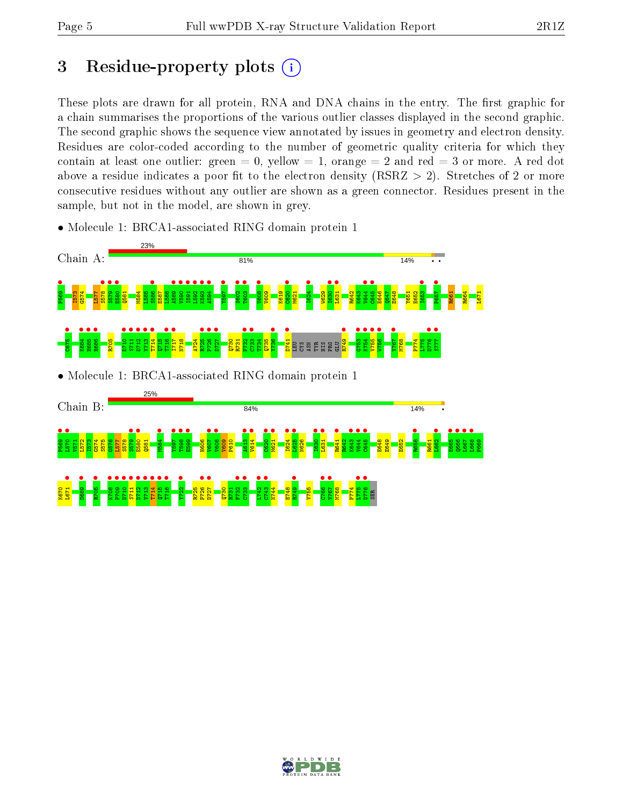## 3 Residue-property plots  $(i)$

These plots are drawn for all protein, RNA and DNA chains in the entry. The first graphic for a chain summarises the proportions of the various outlier classes displayed in the second graphic. The second graphic shows the sequence view annotated by issues in geometry and electron density. Residues are color-coded according to the number of geometric quality criteria for which they contain at least one outlier: green  $= 0$ , yellow  $= 1$ , orange  $= 2$  and red  $= 3$  or more. A red dot above a residue indicates a poor fit to the electron density (RSRZ  $> 2$ ). Stretches of 2 or more consecutive residues without any outlier are shown as a green connector. Residues present in the sample, but not in the model, are shown in grey.

- 23% Chain A: 81% 14% **•**<br>**P573 F578 989**<br>P578 B578<br>P588 B58 S579 • E580 • S586 •  $\frac{89}{1500}$  $\frac{1}{2}$ I591 •  $L592$  • K593 • **1594** • 1691  $\frac{802}{1000}$ **•**<br>T603  $\frac{1008}{1000}$  $\frac{1}{2}$ I624 • **•**<br>I631 • L631 •  $\frac{1}{1644}$  $C645$   $\bullet$ I653 • P657 • Q581 M584 L585 E587 L588 V609 K619 M621 W629 R642 K643 E646  $\frac{1647}{164}$ E648 Y651 E652 R661 R664 L671 C675 **884 •<br>WG84 •** H685 • **H686**  $\frac{10}{211}$ S711 • D712 •  $\frac{13}{114}$  $\frac{14}{114}$ T716 • I717 • R725 • P726 •  $\frac{1}{27}$  $\frac{1}{2}$  $\frac{1}{2}$ **•** • • • • •  $\frac{1}{1+\pi}$ **•**<br>R749 G753 • K754 •  $\frac{1}{\sqrt{255}}$ W756 •  $\frac{1}{2}$ •<br>مسجد<br>مسجد  $\bullet$   $1112$ A724 T734 P774 R705 Q715 N718 Q730 R731 Q735 M768 L775 LEU CYS ASN TYR HIS PRO  $\Xi$ • Molecule 1: BRCA1-associated RING domain protein 1 25% Chain B: 84% 14% • •<br>**P570 • V571 P575**<br>P570 P575<br>P588 S575  $\frac{1}{2579}$ ●<br>E580<br>CE51 M584 • Y597 •  $\frac{1}{5}$  $\frac{1}{2}$ V607 •  $\frac{1008}{1000}$ A613 • **v**614 •  $\frac{1}{2}$ M621 •  $\frac{1624}{1625}$  $\frac{1625}{\sqrt{25}}$ **•**<br>P<sub>1631</sub> **•**<br>L631  $\frac{R641}{n640}$ K643 • V644 •<br>\*\*\*  $C645$  • **B**<sub>58</sub> **•**<br>L662 •<br>E665<br>Cacc  $\frac{1}{2}$ L667 • L668 • G576 L577 S578 Q581 H606 V609 P610 N626 R642 E648 E649 E652 R661 P669 L671 • **•**<br>D689 **8705**  $\frac{8}{100}$  $\frac{8}{20}$ D710 •  $\frac{11}{11}$  $\frac{1}{2}$   $\frac{1}{2}$  $\frac{13}{1111}$ **T**714 **•**  $\frac{15}{2110}$ **•**<br>T<sub>16</sub> Y722 •  $\frac{8}{25}$  $\frac{1}{27}$ F732 •  $\frac{1}{2}$  $\frac{1}{2}$  $C743$  • **e**<br>R749 C766 •  $V$ 67  $\bullet$  $-5775$ **•**<br>P776 • K670 R725 Q730 R731 N744 E748 V755 M768 P774 SER
- Molecule 1: BRCA1-associated RING domain protein 1

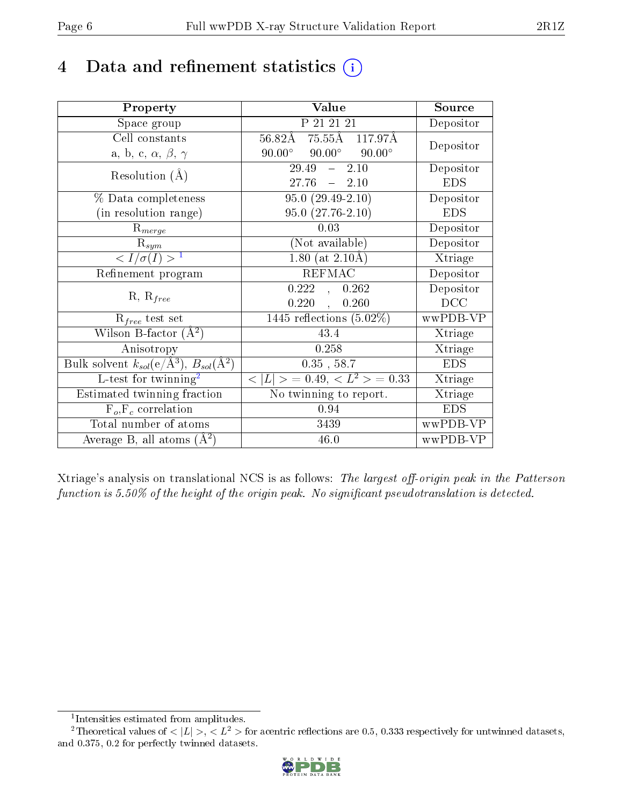## 4 Data and refinement statistics  $(i)$

| Property                                                         | Value                                           | Source                       |
|------------------------------------------------------------------|-------------------------------------------------|------------------------------|
| Space group                                                      | P 21 21 21                                      | Depositor                    |
| Cell constants                                                   | 56.82Å 75.55Å 117.97Å                           | Depositor                    |
| a, b, c, $\alpha$ , $\beta$ , $\gamma$                           | $90.00^{\circ}$ $90.00^{\circ}$ $90.00^{\circ}$ |                              |
| Resolution $(A)$                                                 | 2.10<br>29.49<br>$\frac{1}{2}$                  | Depositor                    |
|                                                                  | 27.76<br>$-2.10$                                | <b>EDS</b>                   |
| % Data completeness                                              | $95.0(29.49-2.10)$                              | Depositor                    |
| (in resolution range)                                            | $95.0(27.76-2.10)$                              | <b>EDS</b>                   |
| $R_{merge}$                                                      | 0.03                                            | Depositor                    |
| $\mathrm{R}_{sym}$                                               | (Not available)                                 | Depositor                    |
| $\langle I/\sigma(I) \rangle^{-1}$                               | $1.80$ (at $2.10\text{\AA}$ )                   | $\overline{\text{X}}$ triage |
| Refinement program                                               | <b>REFMAC</b>                                   | Depositor                    |
| $R, R_{free}$                                                    | 0.222,<br>0.262                                 | Depositor                    |
|                                                                  | $0.220$ ,<br>0.260                              | DCC                          |
| $R_{free}$ test set                                              | $1445$ reflections $(5.02\%)$                   | wwPDB-VP                     |
| Wilson B-factor $(A^2)$                                          | 43.4                                            | Xtriage                      |
| Anisotropy                                                       | 0.258                                           | Xtriage                      |
| Bulk solvent $k_{sol}(\text{e}/\text{A}^3), B_{sol}(\text{A}^2)$ | $0.35$ , 58.7                                   | <b>EDS</b>                   |
| L-test for twinning <sup>2</sup>                                 | $< L >$ = 0.49, $< L2$ = 0.33                   | Xtriage                      |
| Estimated twinning fraction                                      | No twinning to report.                          | Xtriage                      |
| $\overline{F_o}, \overline{F_c}$ correlation                     | 0.94                                            | <b>EDS</b>                   |
| Total number of atoms                                            | 3439                                            | wwPDB-VP                     |
| Average B, all atoms $(A^2)$                                     | 46.0                                            | wwPDB-VP                     |

Xtriage's analysis on translational NCS is as follows: The largest off-origin peak in the Patterson function is  $5.50\%$  of the height of the origin peak. No significant pseudotranslation is detected.

<sup>&</sup>lt;sup>2</sup>Theoretical values of  $\langle |L| \rangle$ ,  $\langle L^2 \rangle$  for acentric reflections are 0.5, 0.333 respectively for untwinned datasets, and 0.375, 0.2 for perfectly twinned datasets.



<span id="page-5-1"></span><span id="page-5-0"></span><sup>1</sup> Intensities estimated from amplitudes.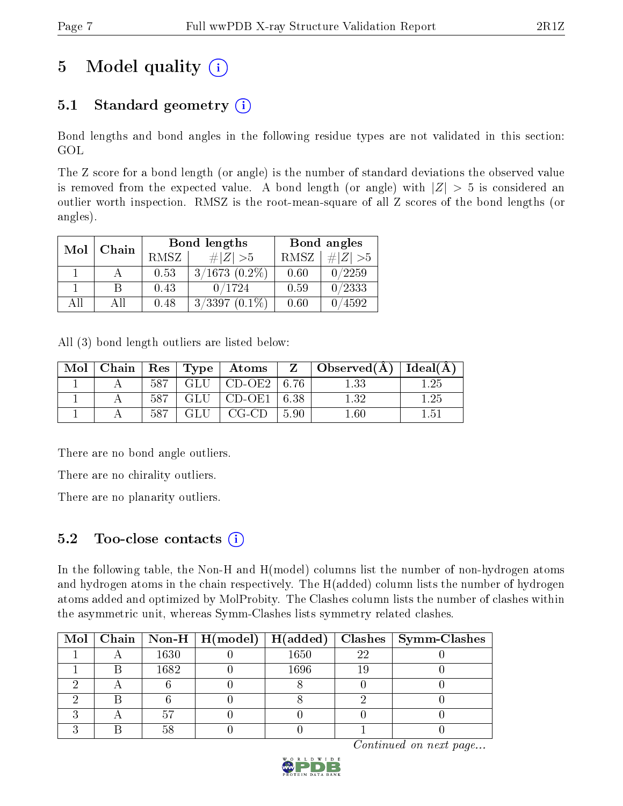## 5 Model quality  $(i)$

### 5.1 Standard geometry  $(i)$

Bond lengths and bond angles in the following residue types are not validated in this section: GOL

The Z score for a bond length (or angle) is the number of standard deviations the observed value is removed from the expected value. A bond length (or angle) with  $|Z| > 5$  is considered an outlier worth inspection. RMSZ is the root-mean-square of all Z scores of the bond lengths (or angles).

| Mol | Chain |             | <b>Bond lengths</b> | Bond angles |           |  |
|-----|-------|-------------|---------------------|-------------|-----------|--|
|     |       | <b>RMSZ</b> | $\# Z  > 5$         | RMSZ        | # $ Z >5$ |  |
|     |       | 0.53        | $3/1673$ $(0.2\%)$  | 0.60        | 0/2259    |  |
|     | В     | 0.43        | 0/1724              | 0.59        | 0/2333    |  |
| АĦ  | Αll   | 0.48        | $3/3397(0.1\%)$     | 0.60        | 4592      |  |

All (3) bond length outliers are listed below:

| Mol |     |                             |        | $\mid$ Chain $\mid$ Res $\mid$ Type $\mid$ Atoms $\mid$ Z $\mid$ Observed(Å) $\mid$ Ideal(Å) $\mid$ |      |
|-----|-----|-----------------------------|--------|-----------------------------------------------------------------------------------------------------|------|
|     |     | $587$   GLU   CD-OE2   6.76 |        | 1.33                                                                                                | 1.25 |
|     |     | $587$   GLU   CD-OE1   6.38 |        | 132                                                                                                 | 1.25 |
|     | 587 | $\perp$ GLU $\perp$ CG-CD   | l 5.90 | $1.60\,$                                                                                            | 1.51 |

There are no bond angle outliers.

There are no chirality outliers.

There are no planarity outliers.

### 5.2 Too-close contacts  $(i)$

In the following table, the Non-H and H(model) columns list the number of non-hydrogen atoms and hydrogen atoms in the chain respectively. The H(added) column lists the number of hydrogen atoms added and optimized by MolProbity. The Clashes column lists the number of clashes within the asymmetric unit, whereas Symm-Clashes lists symmetry related clashes.

|  |      | Mol   Chain   Non-H   H(model)   H(added) |      |    | $\vert$ Clashes $\vert$ Symm-Clashes |
|--|------|-------------------------------------------|------|----|--------------------------------------|
|  | 1630 |                                           | 1650 | 22 |                                      |
|  | 1682 |                                           | 1696 |    |                                      |
|  |      |                                           |      |    |                                      |
|  |      |                                           |      |    |                                      |
|  |      |                                           |      |    |                                      |
|  |      |                                           |      |    |                                      |

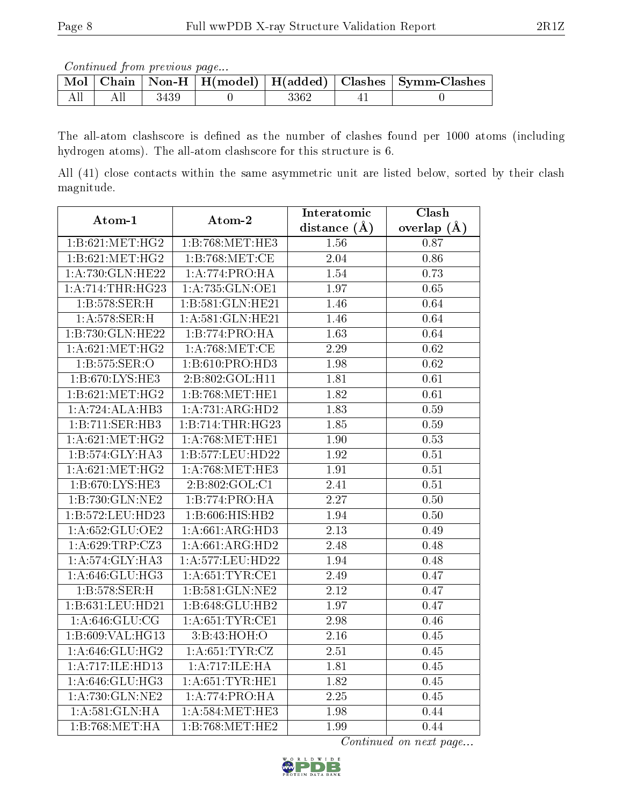Continued from previous page...

|  |      |      | $\mid$ Mol $\mid$ Chain $\mid$ Non-H $\mid$ H(model) $\mid$ H(added) $\mid$ Clashes $\mid$ Symm-Clashes $\mid$ |
|--|------|------|----------------------------------------------------------------------------------------------------------------|
|  | 3439 | 3362 |                                                                                                                |

The all-atom clashscore is defined as the number of clashes found per 1000 atoms (including hydrogen atoms). The all-atom clashscore for this structure is 6.

All (41) close contacts within the same asymmetric unit are listed below, sorted by their clash magnitude.

| Atom-1             | Atom-2              | Interatomic       | Clash             |  |
|--------------------|---------------------|-------------------|-------------------|--|
|                    |                     | distance $(A)$    | overlap $(A)$     |  |
| 1:B:621:MET:HG2    | 1:B:768:MET:HE3     | 1.56              | 0.87              |  |
| 1: B:621: MET:HG2  | 1:B:768:MET:CE      | 2.04              | 0.86              |  |
| 1:A:730:GLN:HE22   | 1: A:774: PRO:HA    | 1.54              | 0.73              |  |
| 1:A:714:THR:HG23   | 1: A: 735: GLN: OE1 | $\overline{1.97}$ | 0.65              |  |
| 1:B:578:SER:H      | 1:B:581:GLN:HE21    | 1.46              | 0.64              |  |
| 1: A:578: SER:H    | 1:A:581:GLN:HE21    | 1.46              | 0.64              |  |
| 1:B:730:GLN:HE22   | 1:B:774:PRO:HA      | 1.63              | 0.64              |  |
| 1: A:621: MET:HG2  | 1: A:768:MET:CE     | 2.29              | 0.62              |  |
| 1: B: 575: SER: O  | 1:B:610:PRO:HD3     | 1.98              | 0.62              |  |
| 1:B:670:LYS:HE3    | 2:B:802:GOL:H11     | 1.81              | 0.61              |  |
| 1:B:621:MET:HG2    | 1:B:768:MET:HE1     | 1.82              | 0.61              |  |
| 1:A:724:ALA:HB3    | 1:A:731:ARG:HD2     | 1.83              | 0.59              |  |
| 1:B:711:SER:HB3    | 1:B:714:THR:HG23    | 1.85              | 0.59              |  |
| 1: A:621: MET:HG2  | 1: A:768:MET:HE1    | 1.90              | 0.53              |  |
| 1:B:574:GLY:HA3    | 1:B:577:LEU:HD22    | 1.92              | 0.51              |  |
| 1: A:621: MET:HG2  | 1: A:768:MET:HE3    | 1.91              | $\overline{0.51}$ |  |
| 1:B:670:LYS:HE3    | 2:B:802:GOL:C1      | 2.41              | 0.51              |  |
| 1:B:730:GLN:NE2    | 1:B:774:PRO:HA      | 2.27              | $0.50\,$          |  |
| 1:B:572:LEU:HD23   | 1:B:606:HIS:HB2     | 1.94              | 0.50              |  |
| 1:A:652:GLU:OE2    | 1:A:661:ARG:HD3     | 2.13              | 0.49              |  |
| 1: A:629:TRP:CZ3   | 1:A:661:ARG:HD2     | 2.48              | 0.48              |  |
| 1:A:574:GLY:HA3    | 1:A:577:LEU:HD22    | 1.94              | 0.48              |  |
| 1: A:646: GLU:HG3  | 1: A:651:TYR:CE1    | 2.49              | $\overline{0.47}$ |  |
| 1:B:578:SER:H      | 1:B:581:GLN:NE2     | 2.12              | 0.47              |  |
| 1:B:631:LEU:HD21   | 1:B:648:GLU:HB2     | 1.97              | 0.47              |  |
| 1: A:646: GLU:CG   | 1: A:651:TYR:CE1    | 2.98              | 0.46              |  |
| 1:B:609:VAL:HG13   | 3:B:43:HOH:O        | 2.16              | 0.45              |  |
| 1:A:646:GLU:HG2    | 1: A:651:TYR:CZ     | 2.51              | 0.45              |  |
| 1:A:717:ILE:HD13   | 1:A:717:ILE:HA      | 1.81              | 0.45              |  |
| 1: A:646: GLU:HG3  | 1: A:651:TYR:HE1    | 1.82              | 0.45              |  |
| 1: A:730: GLN: NE2 | 1:A:774:PRO:HA      | 2.25              | 0.45              |  |
| 1:A:581:GLN:HA     | 1: A:584:MET:HE3    | 1.98              | 0.44              |  |
| 1:B:768:MET:HA     | 1:B:768:MET:HE2     | 1.99              | 0.44              |  |

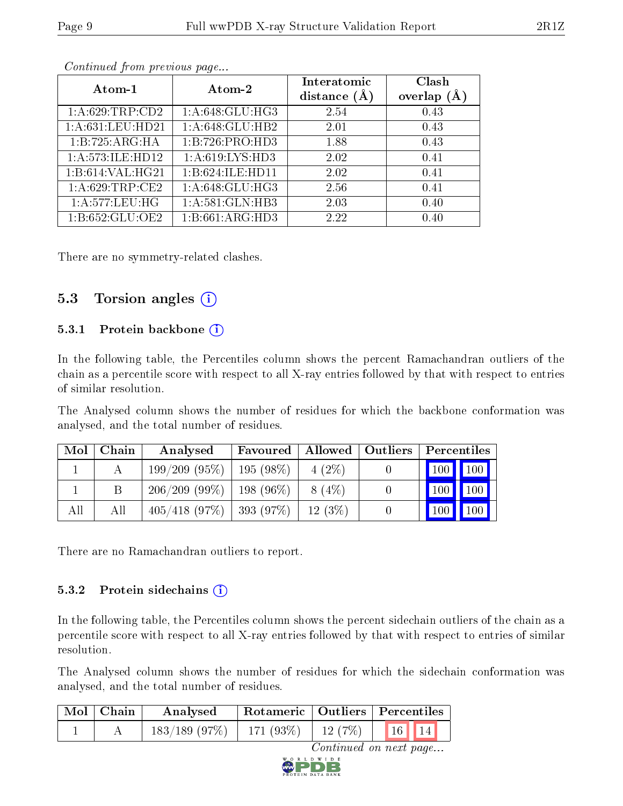| Atom-1            | Atom-2             | Interatomic<br>distance $(A)$ | Clash<br>overlap $(A)$ |
|-------------------|--------------------|-------------------------------|------------------------|
| 1: A:629:TRP:CD2  | 1:A:648:GLU:HG3    | 2.54                          | 0.43                   |
| 1: A:631:LEU:HD21 | 1:A:648:GLU:HB2    | 2.01                          | 0.43                   |
| 1:B:725:ARG:HA    | 1:B:726:PRO:HD3    | 1.88                          | 0.43                   |
| 1:A:573:ILE:HD12  | 1: A:619: LYS: HD3 | 2.02                          | 0.41                   |
| 1:B:614:VAL:HG21  | 1:B:624:ILE:HD11   | 2.02                          | 0.41                   |
| 1: A:629:TRP:CE2  | 1: A:648: GLU:HG3  | 2.56                          | 0.41                   |
| 1:A:577:LEU:HG    | 1:A:581:GLN:HB3    | 2.03                          | 0.40                   |
| 1:B:652:GLU:OE2   | 1:B:661:ARG:HD3    | 2.22                          | 0.40                   |

Continued from previous page...

There are no symmetry-related clashes.

#### 5.3 Torsion angles  $(i)$

#### 5.3.1 Protein backbone (i)

In the following table, the Percentiles column shows the percent Ramachandran outliers of the chain as a percentile score with respect to all X-ray entries followed by that with respect to entries of similar resolution.

The Analysed column shows the number of residues for which the backbone conformation was analysed, and the total number of residues.

| Mol | Chain | Analysed                              | Favoured |          | Allowed   Outliers   Percentiles |                                   |  |
|-----|-------|---------------------------------------|----------|----------|----------------------------------|-----------------------------------|--|
|     |       | $199/209$ (95\%)   195 (98\%)         |          | $4(2\%)$ |                                  | $\boxed{100}$ $\boxed{100}$       |  |
|     |       | $206/209$ (99\%)   198 (96\%)         |          | $8(4\%)$ |                                  | $\mid$ 100 $\mid$ 100 $\mid$ 1    |  |
| All | All   | $405/418$ (97%)   393 (97%)   12 (3%) |          |          |                                  | $\vert$ 100 $\vert$ 100 $\vert$ 1 |  |

There are no Ramachandran outliers to report.

#### 5.3.2 Protein sidechains (i)

In the following table, the Percentiles column shows the percent sidechain outliers of the chain as a percentile score with respect to all X-ray entries followed by that with respect to entries of similar resolution.

The Analysed column shows the number of residues for which the sidechain conformation was analysed, and the total number of residues.

| $\mid$ Mol $\mid$ Chain | Rotameric   Outliers   Percentiles<br>Analysed |  |  |                                           |
|-------------------------|------------------------------------------------|--|--|-------------------------------------------|
|                         | $183/189$ (97\%)   171 (93\%)   12 (7\%)       |  |  | $\parallel$ 16 $\parallel$ 14 $\parallel$ |

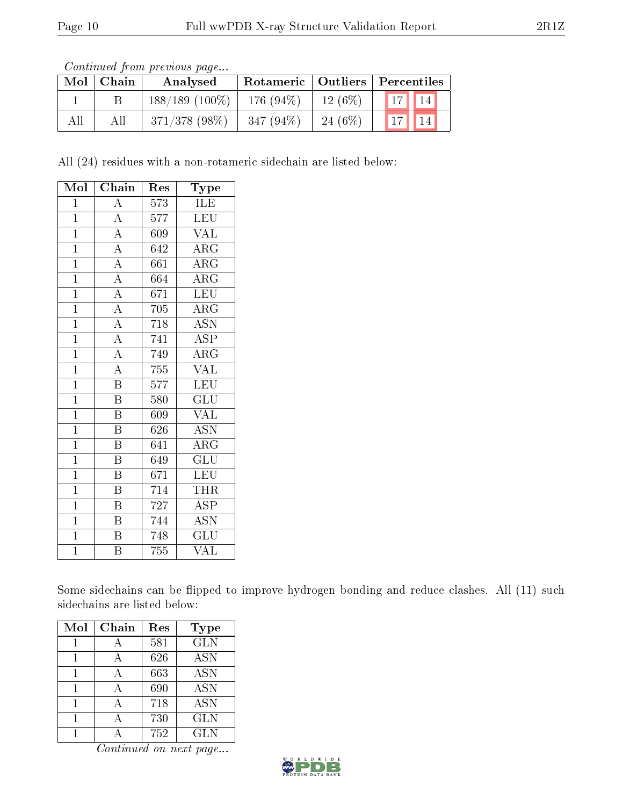Continued from previous page...

| Mol | Chain | Analysed          |              |            | Rotameric   Outliers   Percentiles                   |
|-----|-------|-------------------|--------------|------------|------------------------------------------------------|
|     |       | $188/189$ (100\%) | 176 $(94\%)$ | $12(6\%)$  | 17<br>$^{\blacktriangledown}$ 14 $_{\blacktriangle}$ |
| All | All   | $371/378$ (98\%)  | $347(94\%)$  | 24 $(6\%)$ | $\vert$ 17                                           |

All (24) residues with a non-rotameric sidechain are listed below:

| Mol            | Chain                   | Res              | Type                            |
|----------------|-------------------------|------------------|---------------------------------|
| $\mathbf 1$    | $\overline{\rm A}$      | $\overline{573}$ | ILE                             |
| $\mathbf{1}$   | $\overline{\rm A}$      | 577              | <b>LEU</b>                      |
| $\overline{1}$ | $\overline{A}$          | 609              | $\overline{\text{VAL}}$         |
| $\mathbf{1}$   | $\overline{A}$          | 642              | $\rm{ARG}$                      |
| $\mathbf{1}$   | $\overline{A}$          | 661              | $\rm{ARG}$                      |
| $\overline{1}$ | $\overline{A}$          | 664              | $\overline{\text{ARG}}$         |
| $\mathbf{1}$   | $\overline{A}$          | 671              | <b>LEU</b>                      |
| $\overline{1}$ | $\overline{A}$          | 705              | $\rm{ARG}$                      |
| $\mathbf{1}$   | $\overline{A}$          | 718              | <b>ASN</b>                      |
| $\mathbf{1}$   | $\overline{A}$          | 741              | $\overline{\text{ASP}}$         |
| $\mathbf{1}$   | $\overline{A}$          | 749              | $\overline{\rm{A}}\rm{R}\rm{G}$ |
| $\mathbf{1}$   | $\overline{A}$          | 755              | <b>VAL</b>                      |
| $\overline{1}$ | $\overline{\mathrm{B}}$ | $\overline{5}77$ | LEU                             |
| $\mathbf{1}$   | $\, {\bf B}$            | 580              | $\overline{\text{GLU}}$         |
| $\overline{1}$ | $\overline{\mathrm{B}}$ | 609              | VAL                             |
| $\mathbf{1}$   | $\, {\bf B}$            | 626              | <b>ASN</b>                      |
| $\mathbf{1}$   | Β                       | 641              | $\rm{ARG}$                      |
| $\overline{1}$ | $\overline{\mathrm{B}}$ | 649              | $\overline{\mathrm{GLU}}$       |
| $\overline{1}$ | Β                       | 671              | <b>LEU</b>                      |
| $\overline{1}$ | $\overline{\mathrm{B}}$ | 714              | THR                             |
| $\mathbf{1}$   | Β                       | 727              | ASP                             |
| $\mathbf{1}$   | $\, {\bf B}$            | 744              | <b>ASN</b>                      |
| $\overline{1}$ | Β                       | 748              | GLU                             |
| $\overline{1}$ | B                       | 755              | VAL                             |

Some sidechains can be flipped to improve hydrogen bonding and reduce clashes. All (11) such sidechains are listed below:

| Mol | Chain | Res | <b>Type</b>       |
|-----|-------|-----|-------------------|
|     |       | 581 | <b>GLN</b>        |
|     |       | 626 | <b>ASN</b>        |
|     |       | 663 | $\overline{A}$ SN |
|     |       | 690 | <b>ASN</b>        |
|     |       | 718 | <b>ASN</b>        |
|     |       | 730 | <b>GLN</b>        |
|     |       | 752 | <b>GLN</b>        |

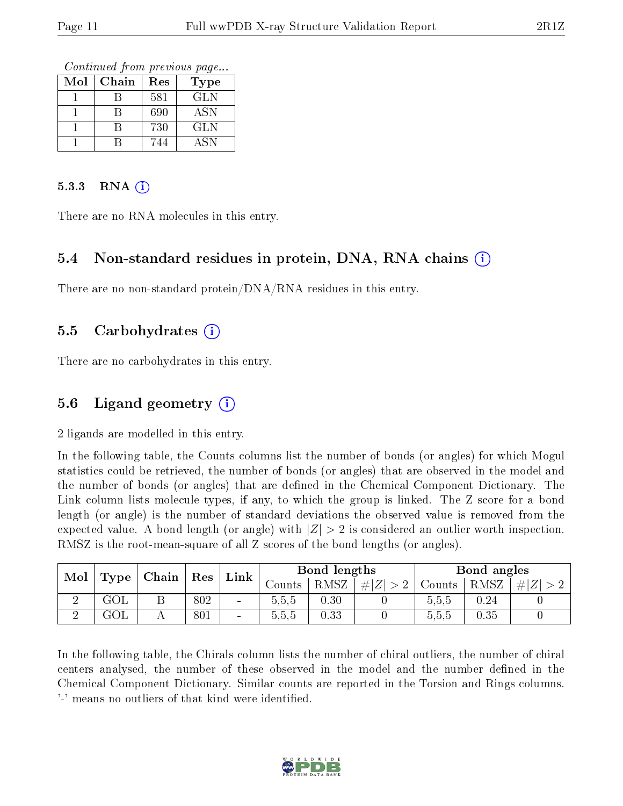Continued from previous page...

| Mol | Chain | Res | Type       |
|-----|-------|-----|------------|
|     |       |     |            |
|     |       | 581 | <b>GLN</b> |
|     |       | 690 | <b>ASN</b> |
|     |       | 730 | <b>GLN</b> |
|     |       | 744 | <b>ASN</b> |

#### 5.3.3 RNA  $(i)$

There are no RNA molecules in this entry.

#### 5.4 Non-standard residues in protein, DNA, RNA chains  $(i)$

There are no non-standard protein/DNA/RNA residues in this entry.

#### 5.5 Carbohydrates  $(i)$

There are no carbohydrates in this entry.

### 5.6 Ligand geometry  $(i)$

2 ligands are modelled in this entry.

In the following table, the Counts columns list the number of bonds (or angles) for which Mogul statistics could be retrieved, the number of bonds (or angles) that are observed in the model and the number of bonds (or angles) that are defined in the Chemical Component Dictionary. The Link column lists molecule types, if any, to which the group is linked. The Z score for a bond length (or angle) is the number of standard deviations the observed value is removed from the expected value. A bond length (or angle) with  $|Z| > 2$  is considered an outlier worth inspection. RMSZ is the root-mean-square of all Z scores of the bond lengths (or angles).

| Mol | Type | Chain | Res | $\ln k_\perp$            |         | Bond lengths |         |        | Bond angles |   |
|-----|------|-------|-----|--------------------------|---------|--------------|---------|--------|-------------|---|
|     |      |       |     |                          | Jounts- | <b>RMSZ</b>  | $\# Z $ | Counts | RMSZ        | # |
|     | GOL  |       | 802 | $\overline{\phantom{a}}$ | 5.5.5   | 0.30         |         | 0.5.5  | $0.24\,$    |   |
|     | GOL  |       | 801 | $\blacksquare$           | 5.5.5   | 0.33         |         | 5.5.5  | 0.35        |   |

In the following table, the Chirals column lists the number of chiral outliers, the number of chiral centers analysed, the number of these observed in the model and the number defined in the Chemical Component Dictionary. Similar counts are reported in the Torsion and Rings columns. '-' means no outliers of that kind were identified.

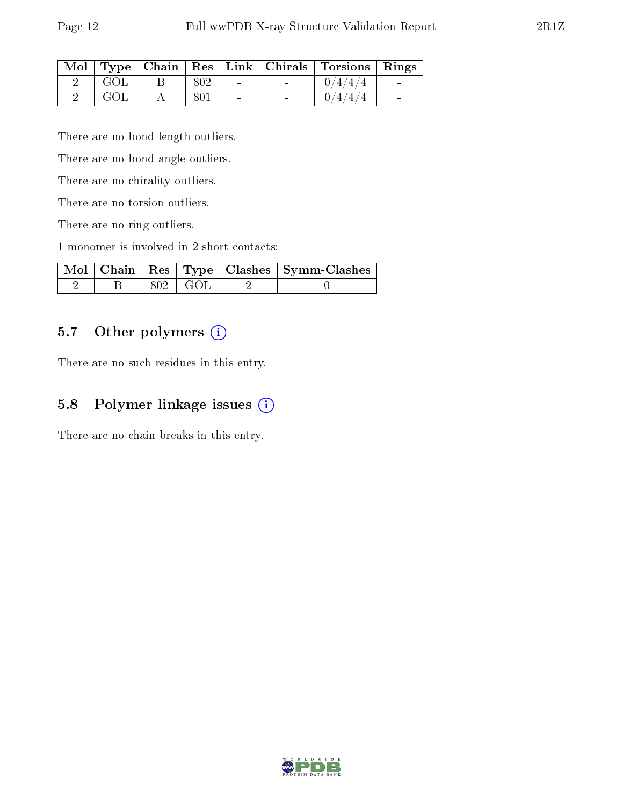|     |     |          | Mol   Type   Chain   Res   Link   Chirals   Torsions   Rings |  |
|-----|-----|----------|--------------------------------------------------------------|--|
| GOL | 802 | $\sim$   | 0/4/4/4                                                      |  |
| GOL | 801 | $\equiv$ | 0/4/4/4                                                      |  |

There are no bond length outliers.

There are no bond angle outliers.

There are no chirality outliers.

There are no torsion outliers.

There are no ring outliers.

1 monomer is involved in 2 short contacts:

|  |               | Mol   Chain   Res   Type   Clashes   Symm-Clashes |
|--|---------------|---------------------------------------------------|
|  | $802 \pm GOL$ |                                                   |

### 5.7 [O](https://www.wwpdb.org/validation/2017/XrayValidationReportHelp#nonstandard_residues_and_ligands)ther polymers (i)

There are no such residues in this entry.

### 5.8 Polymer linkage issues (i)

There are no chain breaks in this entry.

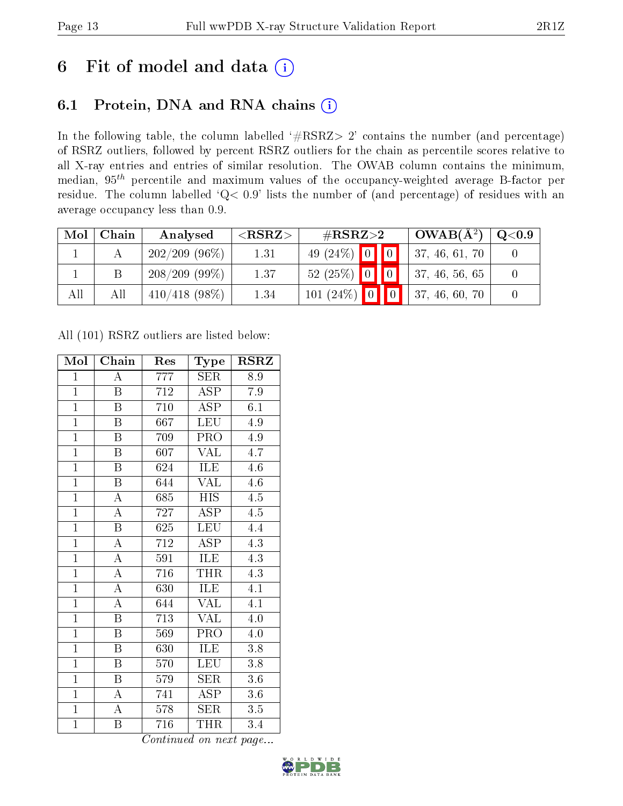## 6 Fit of model and data  $(i)$

### 6.1 Protein, DNA and RNA chains  $(i)$

In the following table, the column labelled  $#RSRZ> 2'$  contains the number (and percentage) of RSRZ outliers, followed by percent RSRZ outliers for the chain as percentile scores relative to all X-ray entries and entries of similar resolution. The OWAB column contains the minimum, median,  $95<sup>th</sup>$  percentile and maximum values of the occupancy-weighted average B-factor per residue. The column labelled ' $Q< 0.9$ ' lists the number of (and percentage) of residues with an average occupancy less than 0.9.

| Mol | Chain | Analysed         | ${ <\hspace{-1.5pt}{\mathrm{RSRZ}} \hspace{-1.5pt}>}$ | # $RSRZ>2$      | $OWAB(A^2)$    | $\mathrm{Q}{<}0.9$ |
|-----|-------|------------------|-------------------------------------------------------|-----------------|----------------|--------------------|
|     |       | $202/209$ (96\%) | 1.31                                                  | 49 $(24\%)$ 0 0 | 37, 46, 61, 70 |                    |
|     |       | $208/209(99\%)$  | 1.37                                                  | $52(25\%)$ 0 0  | 37, 46, 56, 65 |                    |
| All | All   | $410/418$ (98\%) | 1.34                                                  | 101 (24%) 0 0 0 | 37, 46, 60, 70 |                    |

All (101) RSRZ outliers are listed below:

| Mol            | $\overline{\mathrm{Chain}}$ | Res              | Type                    | <b>RSRZ</b>      |
|----------------|-----------------------------|------------------|-------------------------|------------------|
| $\mathbf{1}$   | A                           | 777              | <b>SER</b>              | 8.9              |
| $\overline{1}$ | $\overline{\mathrm{B}}$     | $7\overline{12}$ | <b>ASP</b>              | $\overline{7.9}$ |
| $\overline{1}$ | Β                           | 710              | <b>ASP</b>              | 6.1              |
| $\overline{1}$ | $\overline{\mathrm{B}}$     | 667              | <b>LEU</b>              | 4.9              |
| $\overline{1}$ | $\overline{\mathrm{B}}$     | 709              | PRO                     | 4.9              |
| $\mathbf{1}$   | $\overline{\mathrm{B}}$     | 607              | <b>VAL</b>              | 4.7              |
| $\overline{1}$ | $\overline{B}$              | 624              | ILE                     | 4.6              |
| $\overline{1}$ | $\overline{\mathrm{B}}$     | 644              | VAL                     | 4.6              |
| $\overline{1}$ | $\overline{\rm A}$          | 685              | HIS                     | $4.5\,$          |
| $\overline{1}$ | $\overline{\rm A}$          | 727              | $\overline{\text{ASP}}$ | $\overline{4.5}$ |
| $\overline{1}$ | $\mathbf B$                 | 625              | <b>LEU</b>              | 4.4              |
| $\overline{1}$ | $\overline{\rm A}$          | $\overline{712}$ | $\overline{\text{ASP}}$ | $\overline{4.3}$ |
| $\overline{1}$ | $\overline{\rm A}$          | 591              | ILE                     | 4.3              |
| $\overline{1}$ | $\overline{\rm A}$          | 716              | THR                     | $4.\overline{3}$ |
| $\overline{1}$ | $\overline{\rm A}$          | 630              | ILE                     | $\overline{4.1}$ |
| $\overline{1}$ | $\overline{\rm A}$          | 644              | <b>VAL</b>              | 4.1              |
| $\overline{1}$ | $\overline{\mathrm{B}}$     | 713              | $\overline{\text{VAL}}$ | 4.0              |
| $\overline{1}$ | $\, {\bf B}$                | 569              | PRO                     | 4.0              |
| $\overline{1}$ | $\overline{\mathrm{B}}$     | 630              | ILE                     | 3.8              |
| $\overline{1}$ | $\overline{\mathrm{B}}$     | 570              | <b>LEU</b>              | 3.8              |
| $\overline{1}$ | $\overline{\mathrm{B}}$     | 579              | <b>SER</b>              | 3.6              |
| $\overline{1}$ | $\overline{\rm A}$          | 741              | $\overline{\text{ASP}}$ | $3.6\,$          |
| $\overline{1}$ | $\overline{\rm A}$          | 578              | <b>SER</b>              | 3.5              |
| $\overline{1}$ | $\overline{\mathrm{B}}$     | 716              | THR                     | 3.4              |

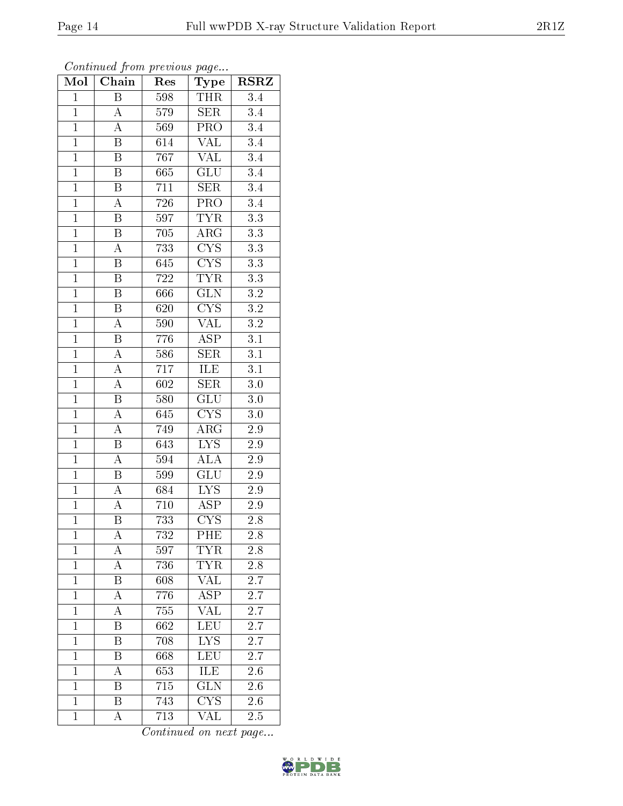| Mol            | Chain                   | Res              | Type                    | <b>RSRZ</b>      |  |
|----------------|-------------------------|------------------|-------------------------|------------------|--|
| $\overline{1}$ | $\overline{\mathrm{B}}$ | 598              | <b>THR</b>              | 3.4              |  |
| $\mathbf{1}$   | $\boldsymbol{A}$        | 579              | <b>SER</b>              | $\overline{3.4}$ |  |
| $\overline{1}$ | A                       | 569              | $\overline{\text{PRO}}$ | $\overline{3.4}$ |  |
| $\overline{1}$ | B                       | $\overline{6}14$ | <b>VAL</b>              | $\overline{3.4}$ |  |
| $\overline{1}$ | $\overline{\mathrm{B}}$ | 767              | <b>VAL</b>              | $\overline{3.4}$ |  |
| $\overline{1}$ | $\mathbf B$             | 665              | <b>GLU</b>              | $\overline{3.4}$ |  |
| $\overline{1}$ | $\boldsymbol{B}$        | 711              | $\overline{\text{SER}}$ | $\overline{3.4}$ |  |
| $\overline{1}$ | $\overline{\rm A}$      | 726              | PRO                     | $\overline{3.4}$ |  |
| $\mathbf{1}$   | $\boldsymbol{B}$        | 597              | <b>TYR</b>              | $\overline{3.3}$ |  |
| $\overline{1}$ | $\overline{\mathrm{B}}$ | $705\,$          | $\overline{\rm{ARG}}$   | $\overline{3.3}$ |  |
| $\mathbf{1}$   | $\overline{\rm A}$      | 733              | CYS                     | $3.3\,$          |  |
| $\overline{1}$ | $\overline{\mathrm{B}}$ | 645              | $\overline{\text{CYS}}$ | $\overline{3.3}$ |  |
| $\overline{1}$ | B                       | 722              | <b>TYR</b>              | $\overline{3.3}$ |  |
| $\overline{1}$ | $\, {\bf B}$            | 666              | $\overline{\text{GLN}}$ | $3.2\,$          |  |
| $\overline{1}$ | $\overline{\mathrm{B}}$ | 620              | $\overline{\text{CYS}}$ | $\overline{3.2}$ |  |
| $\overline{1}$ | $\overline{\rm A}$      | 590              | VAL                     | $\overline{3.2}$ |  |
| $\overline{1}$ | $\overline{\mathrm{B}}$ | 776              | $\overline{\text{ASP}}$ | $\overline{3.1}$ |  |
| $\overline{1}$ | $\overline{A}$          | 586              | $\overline{\text{SER}}$ | $\overline{3.1}$ |  |
| $\mathbf{1}$   | $\overline{A}$          | 717              | ILE                     | $\overline{3.1}$ |  |
| $\overline{1}$ | $\overline{\rm A}$      | $\overline{602}$ | $\overline{\text{SER}}$ | 3.0              |  |
| $\overline{1}$ | $\overline{\mathrm{B}}$ | 580              | $\overline{{\rm GLU}}$  | $3.0\,$          |  |
| $\overline{1}$ | $\overline{A}$          | 645              | $\overline{\text{CYS}}$ | $\overline{3.0}$ |  |
| $\overline{1}$ | $\overline{A}$          | 749              | $\rm{ARG}$              | $2.9\,$          |  |
| $\overline{1}$ | $\overline{\mathrm{B}}$ | 643              | <b>LYS</b>              | $\overline{2.9}$ |  |
| $\overline{1}$ | $\overline{\rm A}$      | 594              | ALA                     | $2.9\,$          |  |
| $\overline{1}$ | B                       | 599              | $\overline{G}LU$        | 2.9              |  |
| $\overline{1}$ | $\overline{A}$          | 684              | $\overline{\text{LYS}}$ | $2.9\,$          |  |
| $\mathbf{1}$   | A                       | 710              | $\overline{\text{ASP}}$ | 2.9              |  |
| $\overline{1}$ | $\overline{\mathrm{B}}$ | 733              | $\overline{\text{CYS}}$ | $2.\overline{8}$ |  |
| $\mathbf 1$    | А                       | 732              | PHE                     | 2.8              |  |
| $\mathbf{1}$   | A                       | 597              | <b>TYR</b>              | 2.8              |  |
| $\mathbf{1}$   | $\overline{\rm A}$      | 736              | $T\overline{YR}$        | $2.8\,$          |  |
| $\mathbf{1}$   | B                       | 608              | <b>VAL</b>              | 2.7              |  |
| $\mathbf{1}$   | $\overline{\rm A}$      | 776              | $\overline{\text{ASP}}$ | 2.7              |  |
| $\mathbf{1}$   | A                       | 755              | <b>VAL</b>              | $2.\overline{7}$ |  |
| $\mathbf{1}$   | $\overline{\mathrm{B}}$ | 662              | LEU                     | $2.\overline{7}$ |  |
| $\mathbf{1}$   | $\overline{\mathrm{B}}$ | 708              | <b>LYS</b>              | 2.7              |  |
| $\mathbf{1}$   | Β                       | 668              | <b>LEU</b>              | 2.7              |  |
| $\mathbf{1}$   | A                       | 653              | $\overline{\text{ILE}}$ | $\overline{2.6}$ |  |
| $\mathbf{1}$   | Β                       | 715              | $\widetilde{{\rm GLN}}$ | 2.6              |  |
| $\overline{1}$ | $\overline{\mathrm{B}}$ | 743              | $\overline{\text{CYS}}$ | $2.6\,$          |  |
| $\overline{1}$ | A                       | $\overline{7}13$ | VAL                     | 2.5              |  |

Continued from previous page...

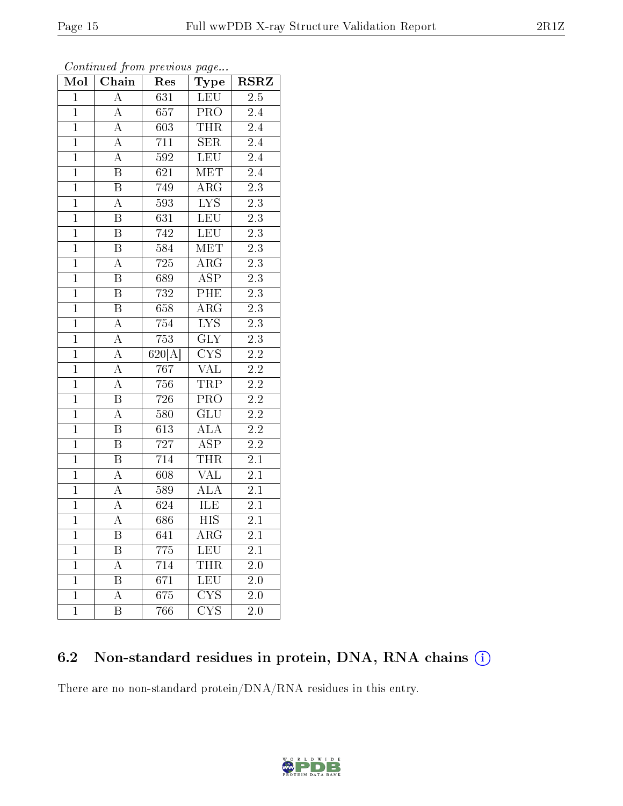| Mol            | Chain                   | Res              | $\bf Type$              | <b>RSRZ</b>      |
|----------------|-------------------------|------------------|-------------------------|------------------|
| $\overline{1}$ | $\overline{\rm A}$      | 631              | LEU                     | 2.5              |
| $\mathbf{1}$   | $\overline{\rm A}$      | 657              | <b>PRO</b>              | 2.4              |
| $\overline{1}$ | $\overline{A}$          | 603              | <b>THR</b>              | $\overline{2.4}$ |
| $\overline{1}$ | $\overline{A}$          | 711              | SER                     | $\overline{2.4}$ |
| $\overline{1}$ | $\overline{A}$          | $\overline{592}$ | LEU                     | $\overline{2.4}$ |
| $\overline{1}$ | $\overline{\mathbf{B}}$ | 621              | MET                     | 2.4              |
| $\overline{1}$ | $\overline{\mathrm{B}}$ | 749              | ARG                     | $2\overline{.3}$ |
| $\overline{1}$ | $\overline{A}$          | 593              | I <sub>YS</sub>         | $\overline{2.3}$ |
| $\overline{1}$ | $\overline{\mathrm{B}}$ | 631              | LEU                     | $\overline{2.3}$ |
| $\overline{1}$ | $\overline{\mathbf{B}}$ | 742              | <b>LEU</b>              | $\overline{2.3}$ |
| $\mathbf{1}$   | $\overline{\mathbf{B}}$ | 584              | MET                     | $2.3\,$          |
| $\overline{1}$ | $\overline{A}$          | 725              | $\overline{\rm ARG}$    | $\overline{2.3}$ |
| $\overline{1}$ | $\, {\bf B}$            | 689              | $\overline{\text{ASP}}$ | $\overline{2.3}$ |
| $\overline{1}$ | $\overline{\mathrm{B}}$ | 732              | PHE                     | $\overline{2.3}$ |
| $\overline{1}$ | $\overline{\mathbf{B}}$ | 658              | $\overline{\rm ARG}$    | $\overline{2.3}$ |
| $\mathbf{1}$   | $\overline{A}$          | 754              | <b>LYS</b>              | $2\overline{.3}$ |
| $\overline{1}$ | $\overline{A}$          | 753              | $\overline{\text{GLY}}$ | $\overline{2.3}$ |
| $\overline{1}$ | $\overline{A}$          | 620[A]           | $\overline{\text{CYS}}$ | 2.2              |
| $\overline{1}$ | $\overline{A}$          | 767              | $\overline{\text{VAL}}$ | $2\overline{.2}$ |
| $\overline{1}$ | $\overline{A}$          | 756              | <b>TRP</b>              | $\overline{2.2}$ |
| $\mathbf{1}$   | $\overline{\mathrm{B}}$ | 726              | PRO                     | $2.2\,$          |
| $\overline{1}$ | $\overline{A}$          | 580              | $\overline{\text{GLU}}$ | $\overline{2.2}$ |
| $\overline{1}$ | $\boldsymbol{B}$        | 613              | <b>ALA</b>              | 2.2              |
| $\overline{1}$ | $\overline{\mathrm{B}}$ | $\overline{727}$ | $\overline{\rm ASP}$    | $\overline{2.2}$ |
| $\overline{1}$ | $\overline{\mathbf{B}}$ | 714              | THR                     | $2.\overline{1}$ |
| $\overline{1}$ | $\overline{A}$          | 608              | <b>VAL</b>              | 2.1              |
| $\overline{1}$ | $\overline{A}$          | 589              | $\overline{\rm ALA}$    | 2.1              |
| $\overline{1}$ | $\overline{A}$          | 624              | ILE                     | 2.1              |
| $\overline{1}$ | $\overline{\rm A}$      | 686              | $\overline{HIS}$        | $\overline{2}.1$ |
| $\mathbf 1$    | Β                       | 641              | ${\rm ARG}$             | 2.1              |
| $\mathbf 1$    | B                       | $775\,$          | <b>LEU</b>              | $2.1\,$          |
| $\mathbf{1}$   | А                       | 714              | THR                     | 2.0              |
| $\mathbf{1}$   | Β                       | 671              | <b>LEU</b>              | 2.0              |
| $\mathbf{1}$   | A                       | 675              | $\overline{\text{CYS}}$ | 2.0              |
| $\mathbf{1}$   | Β                       | 766              | <b>CYS</b>              | 2.0              |

Continued from previous page...

### 6.2 Non-standard residues in protein, DNA, RNA chains (i)

There are no non-standard protein/DNA/RNA residues in this entry.